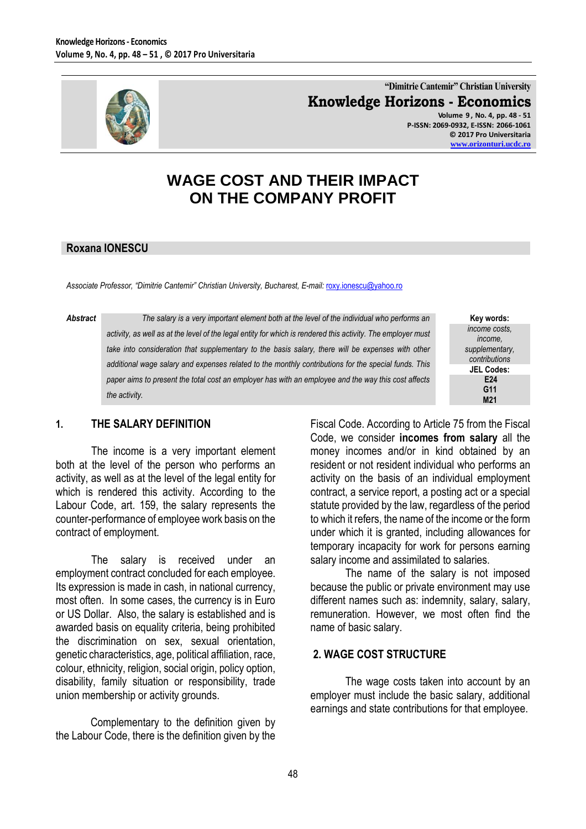

**"Dimitrie Cantemir" Christian University Knowledge Horizons - Economics Volume 9 , No. 4, pp. 48 - 51 P-ISSN: 2069-0932, E-ISSN: 2066-1061**

**© 2017 Pro Universitaria [www.orizonturi.ucdc.ro](http://www.orizonturi.ucdc.ro/)**

# **WAGE COST AND THEIR IMPACT ON THE COMPANY PROFIT**

### **Roxana IONESCU**

*Associate Professor, "Dimitrie Cantemir" Christian University, Bucharest, E-mail:* [roxy.ionescu@yahoo.ro](mailto:roxy.ionescu@yahoo.ro)

*Abstract The salary is a very important element both at the level of the individual who performs an activity, as well as at the level of the legal entity for which is rendered this activity. The employer must*  take into consideration that supplementary to the basis salary, there will be expenses with other *additional wage salary and expenses related to the monthly contributions for the special funds. This paper aims to present the total cost an employer has with an employee and the way this cost affects the activity.*

| Key words:        |
|-------------------|
| income costs.     |
| income.           |
| supplementary,    |
| contributions     |
| <b>JEL Codes:</b> |
| E <sub>24</sub>   |
| G11               |
| M21               |

### **1. THE SALARY DEFINITION**

The income is a very important element both at the level of the person who performs an activity, as well as at the level of the legal entity for which is rendered this activity. According to the Labour Code, art. 159, the salary represents the counter-performance of employee work basis on the contract of employment.

The salary is received under an employment contract concluded for each employee. Its expression is made in cash, in national currency, most often. In some cases, the currency is in Euro or US Dollar. Also, the salary is established and is awarded basis on equality criteria, being prohibited the discrimination on sex, sexual orientation, genetic characteristics, age, political affiliation, race, colour, ethnicity, religion, social origin, policy option, disability, family situation or responsibility, trade union membership or activity grounds.

Complementary to the definition given by the Labour Code, there is the definition given by the

Fiscal Code. According to Article 75 from the Fiscal Code, we consider **incomes from salary** all the money incomes and/or in kind obtained by an resident or not resident individual who performs an activity on the basis of an individual employment contract, a service report, a posting act or a special statute provided by the law, regardless of the period to which it refers, the name of the income or the form under which it is granted, including allowances for temporary incapacity for work for persons earning salary income and assimilated to salaries.

The name of the salary is not imposed because the public or private environment may use different names such as: indemnity, salary, salary, remuneration. However, we most often find the name of basic salary.

#### **2. WAGE COST STRUCTURE**

The wage costs taken into account by an employer must include the basic salary, additional earnings and state contributions for that employee.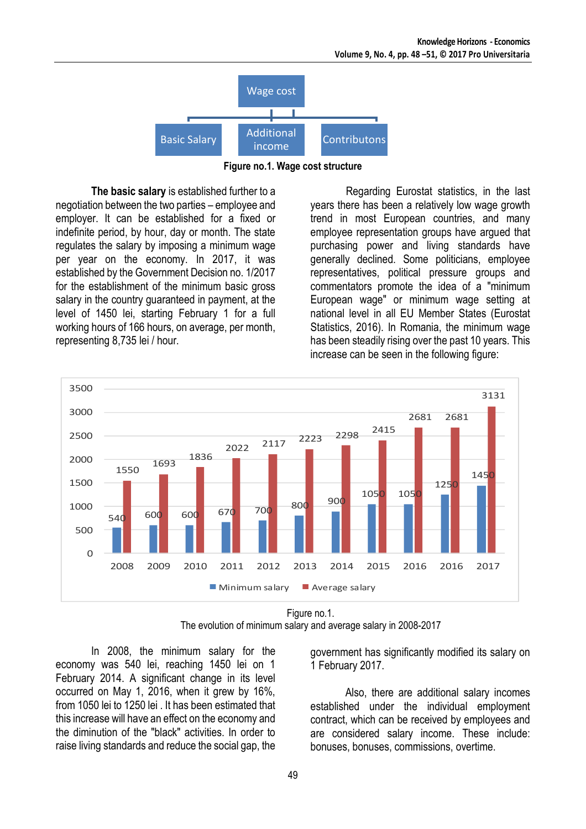

**Figure no.1. Wage cost structure**

**The basic salary** is established further to a negotiation between the two parties – employee and employer. It can be established for a fixed or indefinite period, by hour, day or month. The state regulates the salary by imposing a minimum wage per year on the economy. In 2017, it was established by the Government Decision no. 1/2017 for the establishment of the minimum basic gross salary in the country guaranteed in payment, at the level of 1450 lei, starting February 1 for a full working hours of 166 hours, on average, per month, representing 8,735 lei / hour.

Regarding Eurostat statistics, in the last years there has been a relatively low wage growth trend in most European countries, and many employee representation groups have argued that purchasing power and living standards have generally declined. Some politicians, employee representatives, political pressure groups and commentators promote the idea of a "minimum European wage" or minimum wage setting at national level in all EU Member States (Eurostat Statistics, 2016). In Romania, the minimum wage has been steadily rising over the past 10 years. This increase can be seen in the following figure:



Figure no.1.

The evolution of minimum salary and average salary in 2008-2017

In 2008, the minimum salary for the economy was 540 lei, reaching 1450 lei on 1 February 2014. A significant change in its level occurred on May 1, 2016, when it grew by 16%, from 1050 lei to 1250 lei . It has been estimated that this increase will have an effect on the economy and the diminution of the "black" activities. In order to raise living standards and reduce the social gap, the government has significantly modified its salary on 1 February 2017.

Also, there are additional salary incomes established under the individual employment contract, which can be received by employees and are considered salary income. These include: bonuses, bonuses, commissions, overtime.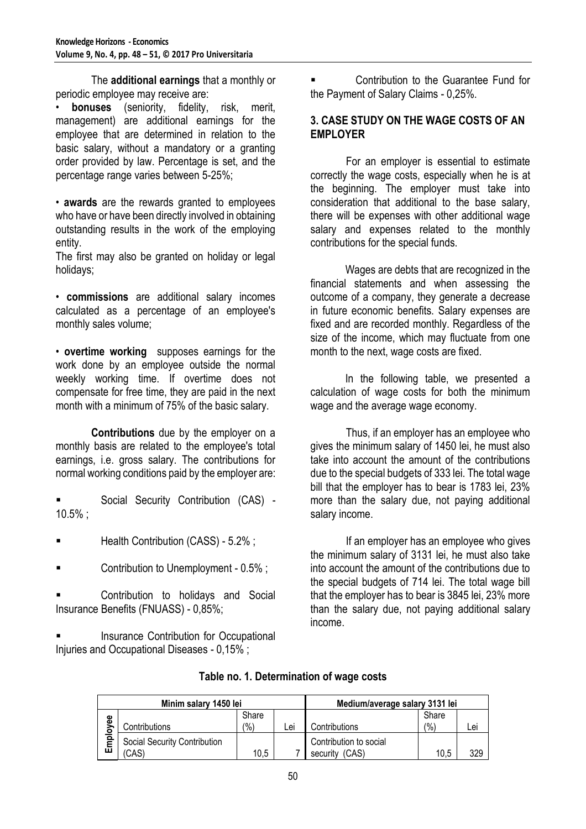The **additional earnings** that a monthly or periodic employee may receive are:

**bonuses** (seniority, fidelity, risk, merit, management) are additional earnings for the employee that are determined in relation to the basic salary, without a mandatory or a granting order provided by law. Percentage is set, and the percentage range varies between 5-25%;

• **awards** are the rewards granted to employees who have or have been directly involved in obtaining outstanding results in the work of the employing entity.

The first may also be granted on holiday or legal holidays;

• **commissions** are additional salary incomes calculated as a percentage of an employee's monthly sales volume;

• **overtime working** supposes earnings for the work done by an employee outside the normal weekly working time. If overtime does not compensate for free time, they are paid in the next month with a minimum of 75% of the basic salary.

**Contributions** due by the employer on a monthly basis are related to the employee's total earnings, i.e. gross salary. The contributions for normal working conditions paid by the employer are:

Social Security Contribution (CAS) -10.5% ;

- Health Contribution (CASS) 5.2% ;
- Contribution to Unemployment 0.5% ;

 Contribution to holidays and Social Insurance Benefits (FNUASS) - 0,85%;

 Insurance Contribution for Occupational Injuries and Occupational Diseases - 0,15% ;

 Contribution to the Guarantee Fund for the Payment of Salary Claims - 0,25%.

# **3. CASE STUDY ON THE WAGE COSTS OF AN EMPLOYER**

For an employer is essential to estimate correctly the wage costs, especially when he is at the beginning. The employer must take into consideration that additional to the base salary, there will be expenses with other additional wage salary and expenses related to the monthly contributions for the special funds.

Wages are debts that are recognized in the financial statements and when assessing the outcome of a company, they generate a decrease in future economic benefits. Salary expenses are fixed and are recorded monthly. Regardless of the size of the income, which may fluctuate from one month to the next, wage costs are fixed.

In the following table, we presented a calculation of wage costs for both the minimum wage and the average wage economy.

Thus, if an employer has an employee who gives the minimum salary of 1450 lei, he must also take into account the amount of the contributions due to the special budgets of 333 lei. The total wage bill that the employer has to bear is 1783 lei, 23% more than the salary due, not paying additional salary income.

If an employer has an employee who gives the minimum salary of 3131 lei, he must also take into account the amount of the contributions due to the special budgets of 714 lei. The total wage bill that the employer has to bear is 3845 lei, 23% more than the salary due, not paying additional salary income.

| Minim salary 1450 lei        |                              |       |     | Medium/average salary 3131 lei |       |     |
|------------------------------|------------------------------|-------|-----|--------------------------------|-------|-----|
| ω<br>Φ                       |                              | Share |     |                                | Share |     |
| $\overline{\mathbf{o}}$<br>ய | Contributions                | (%)   | ∟ei | Contributions                  | (9/0) | Lei |
|                              | Social Security Contribution |       |     | Contribution to social         |       |     |
|                              | CAS)                         | 10.5  |     | (CAS)<br>security              | 10,5  | 329 |

# **Table no. 1. Determination of wage costs**